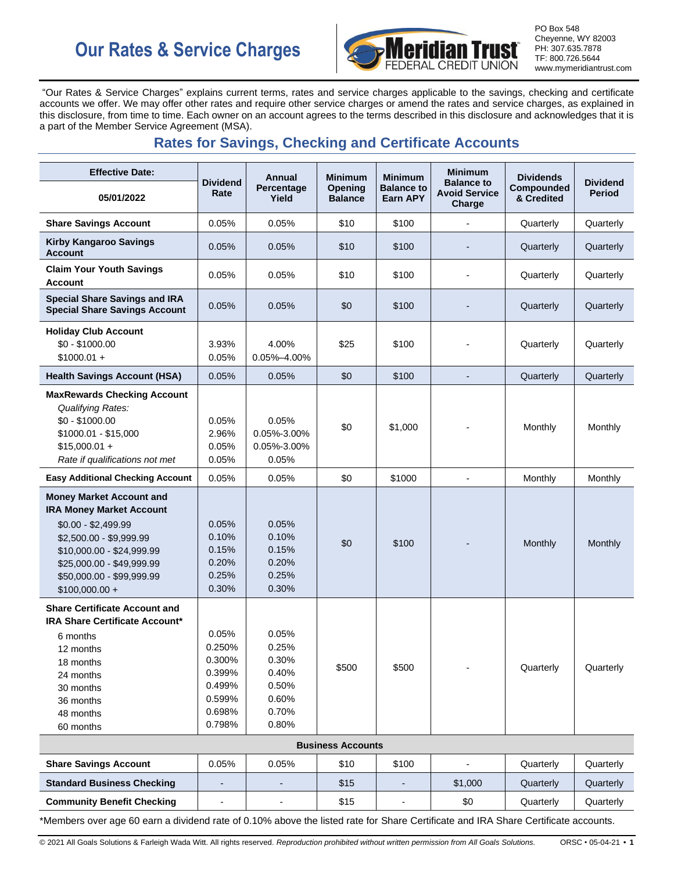# **Our Rates & Service Charges**



PO Box 548 Cheyenne, WY 82003 PH: 307.635.7878 TF: 800.726.5644 www.mymeridiantrust.com

"Our Rates & Service Charges" explains current terms, rates and service charges applicable to the savings, checking and certificate accounts we offer. We may offer other rates and require other service charges or amend the rates and service charges, as explained in this disclosure, from time to time. Each owner on an account agrees to the terms described in this disclosure and acknowledges that it is a part of the Member Service Agreement (MSA).

# **Rates for Savings, Checking and Certificate Accounts**

| <b>Effective Date:</b>                                                                                                                                                                                                         | <b>Dividend</b><br>Rate                                                     | Annual                                                               | <b>Minimum</b>            | <b>Minimum</b>                       | <b>Minimum</b>                                      | <b>Dividends</b>         |                                  |  |
|--------------------------------------------------------------------------------------------------------------------------------------------------------------------------------------------------------------------------------|-----------------------------------------------------------------------------|----------------------------------------------------------------------|---------------------------|--------------------------------------|-----------------------------------------------------|--------------------------|----------------------------------|--|
| 05/01/2022                                                                                                                                                                                                                     |                                                                             | Percentage<br>Yield                                                  | Opening<br><b>Balance</b> | <b>Balance to</b><br><b>Earn APY</b> | <b>Balance to</b><br><b>Avoid Service</b><br>Charge | Compounded<br>& Credited | <b>Dividend</b><br><b>Period</b> |  |
| <b>Share Savings Account</b>                                                                                                                                                                                                   | 0.05%                                                                       | 0.05%                                                                | \$10                      | \$100                                |                                                     | Quarterly                | Quarterly                        |  |
| <b>Kirby Kangaroo Savings</b><br><b>Account</b>                                                                                                                                                                                | 0.05%                                                                       | 0.05%                                                                | \$10                      | \$100                                |                                                     | Quarterly                | Quarterly                        |  |
| <b>Claim Your Youth Savings</b><br><b>Account</b>                                                                                                                                                                              | 0.05%                                                                       | 0.05%                                                                | \$10                      | \$100                                |                                                     | Quarterly                | Quarterly                        |  |
| <b>Special Share Savings and IRA</b><br><b>Special Share Savings Account</b>                                                                                                                                                   | 0.05%                                                                       | 0.05%                                                                | \$0                       | \$100                                |                                                     | Quarterly                | Quarterly                        |  |
| <b>Holiday Club Account</b><br>$$0 - $1000.00$<br>$$1000.01 +$                                                                                                                                                                 | 3.93%<br>0.05%                                                              | 4.00%<br>$0.05\% - 4.00\%$                                           | \$25                      | \$100                                |                                                     | Quarterly                | Quarterly                        |  |
| <b>Health Savings Account (HSA)</b>                                                                                                                                                                                            | 0.05%                                                                       | 0.05%                                                                | \$0                       | \$100                                | $\overline{a}$                                      | Quarterly                | Quarterly                        |  |
| <b>MaxRewards Checking Account</b><br><b>Qualifying Rates:</b><br>$$0 - $1000.00$<br>\$1000.01 - \$15.000<br>$$15,000.01 +$<br>Rate if qualifications not met                                                                  | 0.05%<br>2.96%<br>0.05%<br>0.05%                                            | 0.05%<br>0.05%-3.00%<br>0.05%-3.00%<br>0.05%                         | \$0                       | \$1.000                              |                                                     | Monthly                  | Monthly                          |  |
| <b>Easy Additional Checking Account</b>                                                                                                                                                                                        | 0.05%                                                                       | 0.05%                                                                | \$0                       | \$1000                               | L,                                                  | Monthly                  | Monthly                          |  |
| <b>Money Market Account and</b><br><b>IRA Money Market Account</b><br>$$0.00 - $2,499.99$<br>\$2,500.00 - \$9,999.99<br>\$10,000.00 - \$24,999.99<br>\$25,000.00 - \$49,999.99<br>\$50,000.00 - \$99,999.99<br>$$100,000.00 +$ | 0.05%<br>0.10%<br>0.15%<br>0.20%<br>0.25%<br>0.30%                          | 0.05%<br>0.10%<br>0.15%<br>0.20%<br>0.25%<br>0.30%                   | \$0                       | \$100                                |                                                     | Monthly                  | Monthly                          |  |
| <b>Share Certificate Account and</b><br><b>IRA Share Certificate Account*</b><br>6 months<br>12 months<br>18 months<br>24 months<br>30 months<br>36 months<br>48 months<br>60 months                                           | 0.05%<br>0.250%<br>0.300%<br>0.399%<br>0.499%<br>0.599%<br>0.698%<br>0.798% | 0.05%<br>0.25%<br>0.30%<br>0.40%<br>0.50%<br>0.60%<br>0.70%<br>0.80% | \$500                     | \$500                                |                                                     | Quarterly                | Quarterly                        |  |
| <b>Business Accounts</b>                                                                                                                                                                                                       |                                                                             |                                                                      |                           |                                      |                                                     |                          |                                  |  |
| <b>Share Savings Account</b>                                                                                                                                                                                                   | 0.05%                                                                       | 0.05%                                                                | \$10                      | \$100                                |                                                     | Quarterly                | Quarterly                        |  |
| <b>Standard Business Checking</b>                                                                                                                                                                                              |                                                                             |                                                                      | \$15                      |                                      | \$1,000                                             | Quarterly                | Quarterly                        |  |
| <b>Community Benefit Checking</b>                                                                                                                                                                                              |                                                                             |                                                                      | \$15                      |                                      | \$0                                                 | Quarterly                | Quarterly                        |  |
| *Members over age 60 earn a dividend rate of 0.10% above the listed rate for Share Certificate and IRA Share Certificate accounts.                                                                                             |                                                                             |                                                                      |                           |                                      |                                                     |                          |                                  |  |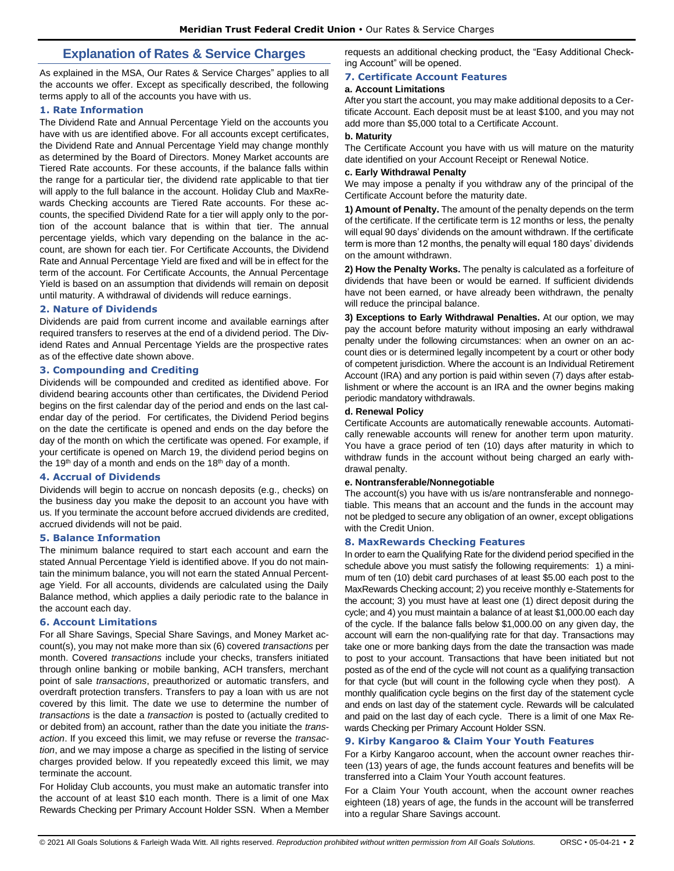## **Explanation of Rates & Service Charges**

As explained in the MSA, Our Rates & Service Charges" applies to all the accounts we offer. Except as specifically described, the following terms apply to all of the accounts you have with us.

#### **1. Rate Information**

The Dividend Rate and Annual Percentage Yield on the accounts you have with us are identified above. For all accounts except certificates, the Dividend Rate and Annual Percentage Yield may change monthly as determined by the Board of Directors. Money Market accounts are Tiered Rate accounts. For these accounts, if the balance falls within the range for a particular tier, the dividend rate applicable to that tier will apply to the full balance in the account. Holiday Club and MaxRewards Checking accounts are Tiered Rate accounts. For these accounts, the specified Dividend Rate for a tier will apply only to the portion of the account balance that is within that tier. The annual percentage yields, which vary depending on the balance in the account, are shown for each tier. For Certificate Accounts, the Dividend Rate and Annual Percentage Yield are fixed and will be in effect for the term of the account. For Certificate Accounts, the Annual Percentage Yield is based on an assumption that dividends will remain on deposit until maturity. A withdrawal of dividends will reduce earnings.

#### **2. Nature of Dividends**

Dividends are paid from current income and available earnings after required transfers to reserves at the end of a dividend period. The Dividend Rates and Annual Percentage Yields are the prospective rates as of the effective date shown above.

#### **3. Compounding and Crediting**

Dividends will be compounded and credited as identified above. For dividend bearing accounts other than certificates, the Dividend Period begins on the first calendar day of the period and ends on the last calendar day of the period. For certificates, the Dividend Period begins on the date the certificate is opened and ends on the day before the day of the month on which the certificate was opened. For example, if your certificate is opened on March 19, the dividend period begins on the 19<sup>th</sup> day of a month and ends on the 18<sup>th</sup> day of a month.

#### **4. Accrual of Dividends**

Dividends will begin to accrue on noncash deposits (e.g., checks) on the business day you make the deposit to an account you have with us. If you terminate the account before accrued dividends are credited, accrued dividends will not be paid.

#### **5. Balance Information**

The minimum balance required to start each account and earn the stated Annual Percentage Yield is identified above. If you do not maintain the minimum balance, you will not earn the stated Annual Percentage Yield. For all accounts, dividends are calculated using the Daily Balance method, which applies a daily periodic rate to the balance in the account each day.

#### **6. Account Limitations**

For all Share Savings, Special Share Savings, and Money Market account(s), you may not make more than six (6) covered *transactions* per month. Covered *transactions* include your checks, transfers initiated through online banking or mobile banking, ACH transfers, merchant point of sale *transactions*, preauthorized or automatic transfers, and overdraft protection transfers. Transfers to pay a loan with us are not covered by this limit. The date we use to determine the number of *transactions* is the date a *transaction* is posted to (actually credited to or debited from) an account, rather than the date you initiate the *transaction*. If you exceed this limit, we may refuse or reverse the *transaction*, and we may impose a charge as specified in the listing of service charges provided below. If you repeatedly exceed this limit, we may terminate the account.

For Holiday Club accounts, you must make an automatic transfer into the account of at least \$10 each month. There is a limit of one Max Rewards Checking per Primary Account Holder SSN. When a Member requests an additional checking product, the "Easy Additional Checking Account" will be opened.

#### **7. Certificate Account Features**

#### **a. Account Limitations**

After you start the account, you may make additional deposits to a Certificate Account. Each deposit must be at least \$100, and you may not add more than \$5,000 total to a Certificate Account.

#### **b. Maturity**

The Certificate Account you have with us will mature on the maturity date identified on your Account Receipt or Renewal Notice.

#### **c. Early Withdrawal Penalty**

We may impose a penalty if you withdraw any of the principal of the Certificate Account before the maturity date.

**1) Amount of Penalty.** The amount of the penalty depends on the term of the certificate. If the certificate term is 12 months or less, the penalty will equal 90 days' dividends on the amount withdrawn. If the certificate term is more than 12 months, the penalty will equal 180 days' dividends on the amount withdrawn.

**2) How the Penalty Works.** The penalty is calculated as a forfeiture of dividends that have been or would be earned. If sufficient dividends have not been earned, or have already been withdrawn, the penalty will reduce the principal balance.

**3) Exceptions to Early Withdrawal Penalties.** At our option, we may pay the account before maturity without imposing an early withdrawal penalty under the following circumstances: when an owner on an account dies or is determined legally incompetent by a court or other body of competent jurisdiction. Where the account is an Individual Retirement Account (IRA) and any portion is paid within seven (7) days after establishment or where the account is an IRA and the owner begins making periodic mandatory withdrawals.

#### **d. Renewal Policy**

Certificate Accounts are automatically renewable accounts. Automatically renewable accounts will renew for another term upon maturity. You have a grace period of ten (10) days after maturity in which to withdraw funds in the account without being charged an early withdrawal penalty.

#### **e. Nontransferable/Nonnegotiable**

The account(s) you have with us is/are nontransferable and nonnegotiable. This means that an account and the funds in the account may not be pledged to secure any obligation of an owner, except obligations with the Credit Union.

#### **8. MaxRewards Checking Features**

In order to earn the Qualifying Rate for the dividend period specified in the schedule above you must satisfy the following requirements: 1) a minimum of ten (10) debit card purchases of at least \$5.00 each post to the MaxRewards Checking account; 2) you receive monthly e-Statements for the account; 3) you must have at least one (1) direct deposit during the cycle; and 4) you must maintain a balance of at least \$1,000.00 each day of the cycle. If the balance falls below \$1,000.00 on any given day, the account will earn the non-qualifying rate for that day. Transactions may take one or more banking days from the date the transaction was made to post to your account. Transactions that have been initiated but not posted as of the end of the cycle will not count as a qualifying transaction for that cycle (but will count in the following cycle when they post). A monthly qualification cycle begins on the first day of the statement cycle and ends on last day of the statement cycle. Rewards will be calculated and paid on the last day of each cycle. There is a limit of one Max Rewards Checking per Primary Account Holder SSN.

#### **9. Kirby Kangaroo & Claim Your Youth Features**

For a Kirby Kangaroo account, when the account owner reaches thirteen (13) years of age, the funds account features and benefits will be transferred into a Claim Your Youth account features.

For a Claim Your Youth account, when the account owner reaches eighteen (18) years of age, the funds in the account will be transferred into a regular Share Savings account.